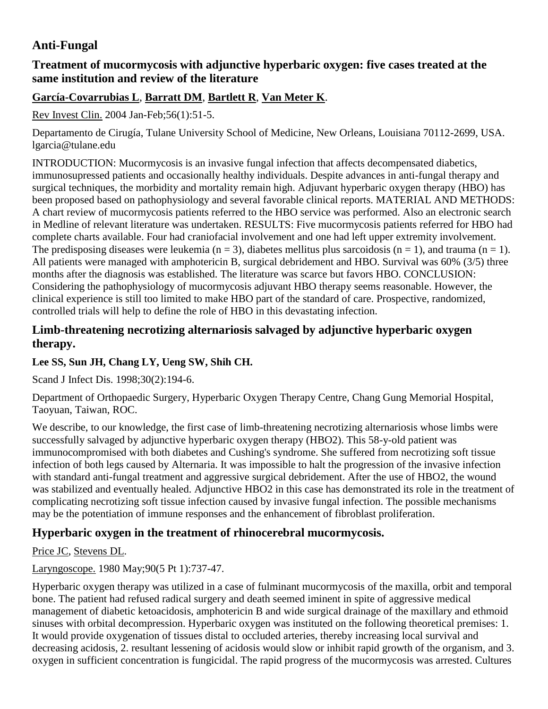# **Anti-Fungal**

## **Treatment of mucormycosis with adjunctive hyperbaric oxygen: five cases treated at the same institution and review of the literature**

## **[García-Covarrubias L](http://www.ncbi.nlm.nih.gov/sites/entrez?Db=pubmed&Cmd=Search&Term=%22Garc%C3%ADa-Covarrubias%20L%22%5BAuthor%5D&itool=EntrezSystem2.PEntrez.Pubmed.Pubmed_ResultsPanel.Pubmed_DiscoveryPanel.Pubmed_RVAbstractPlus)**, **[Barratt DM](http://www.ncbi.nlm.nih.gov/sites/entrez?Db=pubmed&Cmd=Search&Term=%22Barratt%20DM%22%5BAuthor%5D&itool=EntrezSystem2.PEntrez.Pubmed.Pubmed_ResultsPanel.Pubmed_DiscoveryPanel.Pubmed_RVAbstractPlus)**, **[Bartlett R](http://www.ncbi.nlm.nih.gov/sites/entrez?Db=pubmed&Cmd=Search&Term=%22Bartlett%20R%22%5BAuthor%5D&itool=EntrezSystem2.PEntrez.Pubmed.Pubmed_ResultsPanel.Pubmed_DiscoveryPanel.Pubmed_RVAbstractPlus)**, **[Van Meter K](http://www.ncbi.nlm.nih.gov/sites/entrez?Db=pubmed&Cmd=Search&Term=%22Van%20Meter%20K%22%5BAuthor%5D&itool=EntrezSystem2.PEntrez.Pubmed.Pubmed_ResultsPanel.Pubmed_DiscoveryPanel.Pubmed_RVAbstractPlus)**.

[Rev Invest Clin.](javascript:AL_get(this,%20) 2004 Jan-Feb;56(1):51-5.

Departamento de Cirugía, Tulane University School of Medicine, New Orleans, Louisiana 70112-2699, USA. lgarcia@tulane.edu

INTRODUCTION: Mucormycosis is an invasive fungal infection that affects decompensated diabetics, immunosupressed patients and occasionally healthy individuals. Despite advances in anti-fungal therapy and surgical techniques, the morbidity and mortality remain high. Adjuvant hyperbaric oxygen therapy (HBO) has been proposed based on pathophysiology and several favorable clinical reports. MATERIAL AND METHODS: A chart review of mucormycosis patients referred to the HBO service was performed. Also an electronic search in Medline of relevant literature was undertaken. RESULTS: Five mucormycosis patients referred for HBO had complete charts available. Four had craniofacial involvement and one had left upper extremity involvement. The predisposing diseases were leukemia ( $n = 3$ ), diabetes mellitus plus sarcoidosis ( $n = 1$ ), and trauma ( $n = 1$ ). All patients were managed with amphotericin B, surgical debridement and HBO. Survival was 60% (3/5) three months after the diagnosis was established. The literature was scarce but favors HBO. CONCLUSION: Considering the pathophysiology of mucormycosis adjuvant HBO therapy seems reasonable. However, the clinical experience is still too limited to make HBO part of the standard of care. Prospective, randomized, controlled trials will help to define the role of HBO in this devastating infection.

### **Limb-threatening necrotizing alternariosis salvaged by adjunctive hyperbaric oxygen therapy.**

#### **Lee SS, Sun JH, Chang LY, Ueng SW, Shih CH.**

Scand J Infect Dis. 1998;30(2):194-6.

Department of Orthopaedic Surgery, Hyperbaric Oxygen Therapy Centre, Chang Gung Memorial Hospital, Taoyuan, Taiwan, ROC.

We describe, to our knowledge, the first case of limb-threatening necrotizing alternariosis whose limbs were successfully salvaged by adjunctive hyperbaric oxygen therapy (HBO2). This 58-y-old patient was immunocompromised with both diabetes and Cushing's syndrome. She suffered from necrotizing soft tissue infection of both legs caused by Alternaria. It was impossible to halt the progression of the invasive infection with standard anti-fungal treatment and aggressive surgical debridement. After the use of HBO2, the wound was stabilized and eventually healed. Adjunctive HBO2 in this case has demonstrated its role in the treatment of complicating necrotizing soft tissue infection caused by invasive fungal infection. The possible mechanisms may be the potentiation of immune responses and the enhancement of fibroblast proliferation.

# **Hyperbaric oxygen in the treatment of rhinocerebral mucormycosis.**

[Price JC,](http://www.ncbi.nlm.nih.gov/pubmed?term=%22Price%20JC%22%5BAuthor%5D&itool=EntrezSystem2.PEntrez.Pubmed.Pubmed_ResultsPanel.Pubmed_RVAbstract) [Stevens DL.](http://www.ncbi.nlm.nih.gov/pubmed?term=%22Stevens%20DL%22%5BAuthor%5D&itool=EntrezSystem2.PEntrez.Pubmed.Pubmed_ResultsPanel.Pubmed_RVAbstract)

[Laryngoscope.](javascript:AL_get(this,%20) 1980 May;90(5 Pt 1):737-47.

Hyperbaric oxygen therapy was utilized in a case of fulminant mucormycosis of the maxilla, orbit and temporal bone. The patient had refused radical surgery and death seemed iminent in spite of aggressive medical management of diabetic ketoacidosis, amphotericin B and wide surgical drainage of the maxillary and ethmoid sinuses with orbital decompression. Hyperbaric oxygen was instituted on the following theoretical premises: 1. It would provide oxygenation of tissues distal to occluded arteries, thereby increasing local survival and decreasing acidosis, 2. resultant lessening of acidosis would slow or inhibit rapid growth of the organism, and 3. oxygen in sufficient concentration is fungicidal. The rapid progress of the mucormycosis was arrested. Cultures